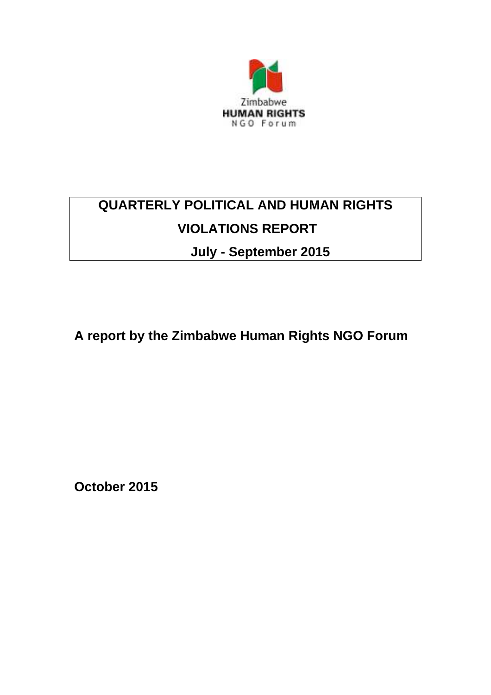

# **QUARTERLY POLITICAL AND HUMAN RIGHTS VIOLATIONS REPORT**

**July - September 2015**

**A report by the Zimbabwe Human Rights NGO Forum**

**October 2015**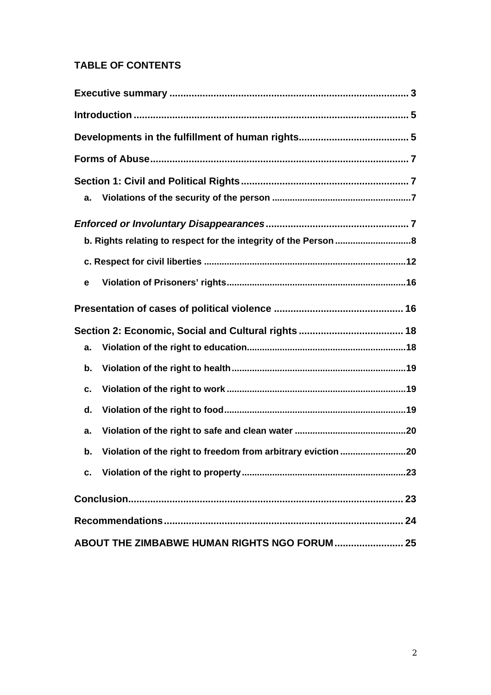# **TABLE OF CONTENTS**

| a.                                                                 |  |
|--------------------------------------------------------------------|--|
|                                                                    |  |
|                                                                    |  |
|                                                                    |  |
| e                                                                  |  |
|                                                                    |  |
|                                                                    |  |
| a.                                                                 |  |
| b.                                                                 |  |
| c.                                                                 |  |
| d.                                                                 |  |
| a.                                                                 |  |
| Violation of the right to freedom from arbitrary eviction 20<br>b. |  |
|                                                                    |  |
|                                                                    |  |
|                                                                    |  |
| ABOUT THE ZIMBABWE HUMAN RIGHTS NGO FORUM 25                       |  |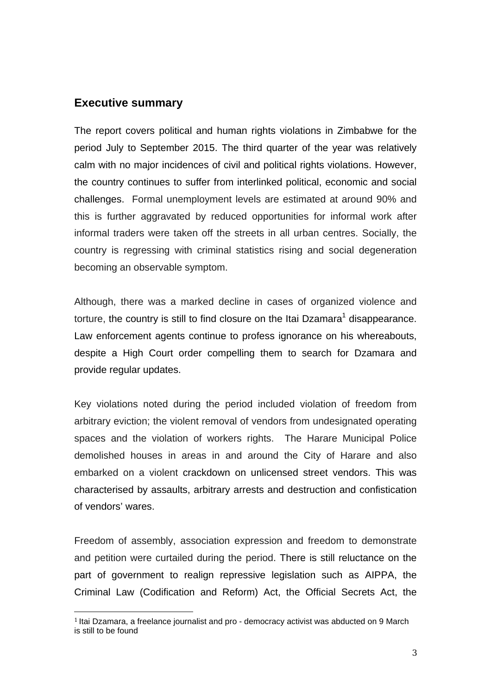## **Executive summary**

The report covers political and human rights violations in Zimbabwe for the period July to September 2015. The third quarter of the year was relatively calm with no major incidences of civil and political rights violations. However, the country continues to suffer from interlinked political, economic and social challenges. Formal unemployment levels are estimated at around 90% and this is further aggravated by reduced opportunities for informal work after informal traders were taken off the streets in all urban centres. Socially, the country is regressing with criminal statistics rising and social degeneration becoming an observable symptom.

Although, there was a marked decline in cases of organized violence and torture, the country is still to find closure on the Itai Dzamara<sup>1</sup> disappearance. Law enforcement agents continue to profess ignorance on his whereabouts, despite a High Court order compelling them to search for Dzamara and provide regular updates.

Key violations noted during the period included violation of freedom from arbitrary eviction; the violent removal of vendors from undesignated operating spaces and the violation of workers rights. The Harare Municipal Police demolished houses in areas in and around the City of Harare and also embarked on a violent crackdown on unlicensed street vendors. This was characterised by assaults, arbitrary arrests and destruction and confistication of vendors' wares.

Freedom of assembly, association expression and freedom to demonstrate and petition were curtailed during the period. There is still reluctance on the part of government to realign repressive legislation such as AIPPA, the Criminal Law (Codification and Reform) Act, the Official Secrets Act, the

<sup>&</sup>lt;sup>1</sup> Itai Dzamara, a freelance journalist and pro - democracy activist was abducted on 9 March is still to be found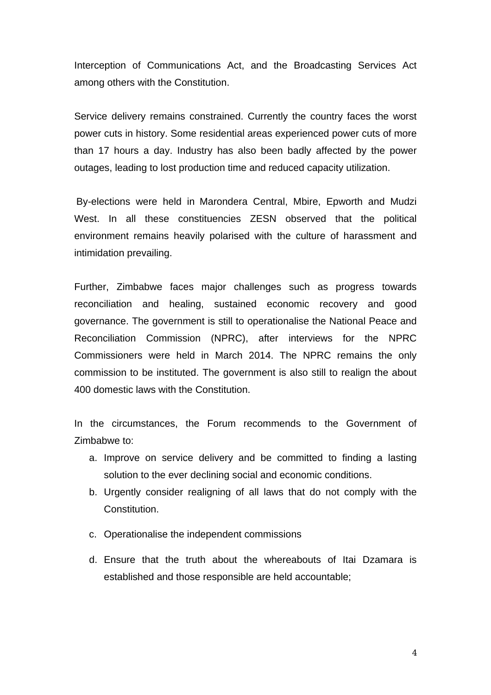Interception of Communications Act, and the Broadcasting Services Act among others with the Constitution.

Service delivery remains constrained. Currently the country faces the worst power cuts in history. Some residential areas experienced power cuts of more than 17 hours a day. Industry has also been badly affected by the power outages, leading to lost production time and reduced capacity utilization.

By-elections were held in Marondera Central, Mbire, Epworth and Mudzi West. In all these constituencies ZESN observed that the political environment remains heavily polarised with the culture of harassment and intimidation prevailing.

Further, Zimbabwe faces major challenges such as progress towards reconciliation and healing, sustained economic recovery and good governance. The government is still to operationalise the National Peace and Reconciliation Commission (NPRC), after interviews for the NPRC Commissioners were held in March 2014. The NPRC remains the only commission to be instituted. The government is also still to realign the about 400 domestic laws with the Constitution.

In the circumstances, the Forum recommends to the Government of Zimbabwe to:

- a. Improve on service delivery and be committed to finding a lasting solution to the ever declining social and economic conditions.
- b. Urgently consider realigning of all laws that do not comply with the Constitution.
- c. Operationalise the independent commissions
- d. Ensure that the truth about the whereabouts of Itai Dzamara is established and those responsible are held accountable;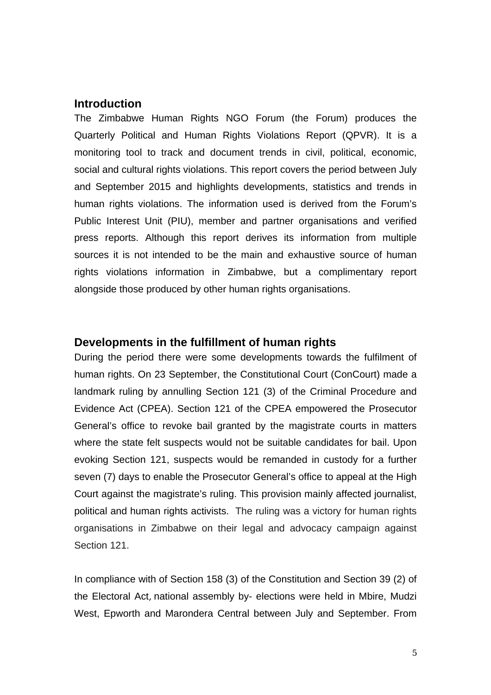#### **Introduction**

The Zimbabwe Human Rights NGO Forum (the Forum) produces the Quarterly Political and Human Rights Violations Report (QPVR). It is a monitoring tool to track and document trends in civil, political, economic, social and cultural rights violations. This report covers the period between July and September 2015 and highlights developments, statistics and trends in human rights violations. The information used is derived from the Forum's Public Interest Unit (PIU), member and partner organisations and verified press reports. Although this report derives its information from multiple sources it is not intended to be the main and exhaustive source of human rights violations information in Zimbabwe, but a complimentary report alongside those produced by other human rights organisations.

#### **Developments in the fulfillment of human rights**

During the period there were some developments towards the fulfilment of human rights. On 23 September, the Constitutional Court (ConCourt) made a landmark ruling by annulling Section 121 (3) of the Criminal Procedure and Evidence Act (CPEA). Section 121 of the CPEA empowered the Prosecutor General's office to revoke bail granted by the magistrate courts in matters where the state felt suspects would not be suitable candidates for bail. Upon evoking Section 121, suspects would be remanded in custody for a further seven (7) days to enable the Prosecutor General's office to appeal at the High Court against the magistrate's ruling. This provision mainly affected journalist, political and human rights activists. The ruling was a victory for human rights organisations in Zimbabwe on their legal and advocacy campaign against Section 121.

In compliance with of Section 158 (3) of the Constitution and Section 39 (2) of the Electoral Act, national assembly by- elections were held in Mbire, Mudzi West, Epworth and Marondera Central between July and September. From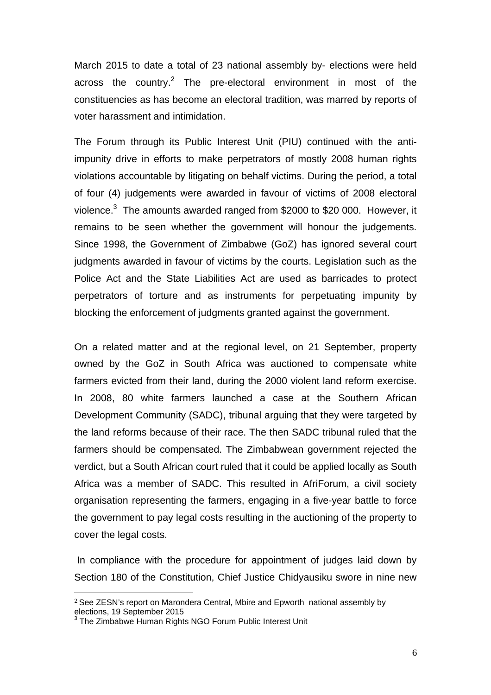March 2015 to date a total of 23 national assembly by- elections were held across the country.<sup>2</sup> The pre-electoral environment in most of the constituencies as has become an electoral tradition, was marred by reports of voter harassment and intimidation.

The Forum through its Public Interest Unit (PIU) continued with the antiimpunity drive in efforts to make perpetrators of mostly 2008 human rights violations accountable by litigating on behalf victims. During the period, a total of four (4) judgements were awarded in favour of victims of 2008 electoral violence. $3$  The amounts awarded ranged from \$2000 to \$20 000. However, it remains to be seen whether the government will honour the judgements. Since 1998, the Government of Zimbabwe (GoZ) has ignored several court judgments awarded in favour of victims by the courts. Legislation such as the Police Act and the State Liabilities Act are used as barricades to protect perpetrators of torture and as instruments for perpetuating impunity by blocking the enforcement of judgments granted against the government.

On a related matter and at the regional level, on 21 September, property owned by the GoZ in South Africa was auctioned to compensate white farmers evicted from their land, during the 2000 violent land reform exercise. In 2008, 80 white farmers launched a case at the Southern African Development Community (SADC), tribunal arguing that they were targeted by the land reforms because of their race. The then SADC tribunal ruled that the farmers should be compensated. The Zimbabwean government rejected the verdict, but a South African court ruled that it could be applied locally as South Africa was a member of SADC. This resulted in AfriForum, a civil society organisation representing the farmers, engaging in a five-year battle to force the government to pay legal costs resulting in the auctioning of the property to cover the legal costs.

In compliance with the procedure for appointment of judges laid down by Section 180 of the Constitution, Chief Justice Chidyausiku swore in nine new

 $2$  See ZESN's report on Marondera Central, Mbire and Epworth national assembly by elections, 19 September 2015

**The Zimbabwe Human Rights NGO Forum Public Interest Unit**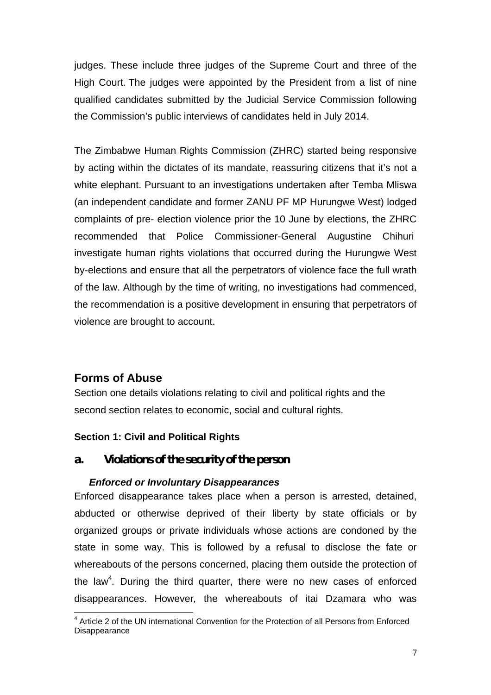judges. These include three judges of the Supreme Court and three of the High Court. The judges were appointed by the President from a list of nine qualified candidates submitted by the Judicial Service Commission following the Commission's public interviews of candidates held in July 2014.

The Zimbabwe Human Rights Commission (ZHRC) started being responsive by acting within the dictates of its mandate, reassuring citizens that it's not a white elephant. Pursuant to an investigations undertaken after Temba Mliswa (an independent candidate and former ZANU PF MP Hurungwe West) lodged complaints of pre- election violence prior the 10 June by elections, the ZHRC recommended that Police Commissioner-General Augustine Chihuri investigate human rights violations that occurred during the Hurungwe West by-elections and ensure that all the perpetrators of violence face the full wrath of the law. Although by the time of writing, no investigations had commenced, the recommendation is a positive development in ensuring that perpetrators of violence are brought to account.

# **Forms of Abuse**

Section one details violations relating to civil and political rights and the second section relates to economic, social and cultural rights.

# **Section 1: Civil and Political Rights**

*a.* Violations of the security of the person

# *Enforced or Involuntary Disappearances*

Enforced disappearance takes place when a person is arrested, detained, abducted or otherwise deprived of their liberty by state officials or by organized groups or private individuals whose actions are condoned by the state in some way. This is followed by a refusal to disclose the fate or whereabouts of the persons concerned, placing them outside the protection of the law<sup>4</sup>. During the third quarter, there were no new cases of enforced disappearances. However*,* the whereabouts of itai Dzamara who was

<sup>4</sup> Article 2 of the UN international Convention for the Protection of all Persons from Enforced **Disappearance**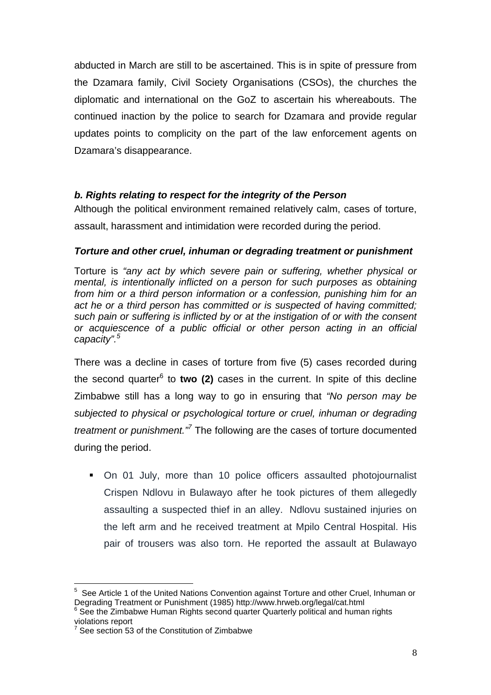abducted in March are still to be ascertained. This is in spite of pressure from the Dzamara family, Civil Society Organisations (CSOs), the churches the diplomatic and international on the GoZ to ascertain his whereabouts. The continued inaction by the police to search for Dzamara and provide regular updates points to complicity on the part of the law enforcement agents on Dzamara's disappearance.

# **b. Rights relating to respect for the integrity of the Person**

Although the political environment remained relatively calm, cases of torture, assault, harassment and intimidation were recorded during the period.

## *Torture and other cruel, inhuman or degrading treatment or punishment*

Torture is *"any act by which severe pain or suffering, whether physical or mental, is intentionally inflicted on a person for such purposes as obtaining from him or a third person information or a confession, punishing him for an act he or a third person has committed or is suspected of having committed; such pain or suffering is inflicted by or at the instigation of or with the consent or acquiescence of a public official or other person acting in an official capacity".<sup>5</sup>*

There was a decline in cases of torture from five (5) cases recorded during the second quarter<sup>6</sup> to two (2) cases in the current. In spite of this decline Zimbabwe still has a long way to go in ensuring that *"No person may be subjected to physical or psychological torture or cruel, inhuman or degrading treatment or punishment."7* The following are the cases of torture documented during the period.

 On 01 July, more than 10 police officers assaulted photojournalist Crispen Ndlovu in Bulawayo after he took pictures of them allegedly assaulting a suspected thief in an alley. Ndlovu sustained injuries on the left arm and he received treatment at Mpilo Central Hospital. His pair of trousers was also torn. He reported the assault at Bulawayo

<sup>5</sup> See Article 1 of the United Nations Convention against Torture and other Cruel, Inhuman or Degrading Treatment or Punishment (1985) http://www.hrweb.org/legal/cat.html <sup>6</sup>

<sup>&</sup>lt;sup>6</sup> See the Zimbabwe Human Rights second quarter Quarterly political and human rights violations report

 $7$  See section 53 of the Constitution of Zimbabwe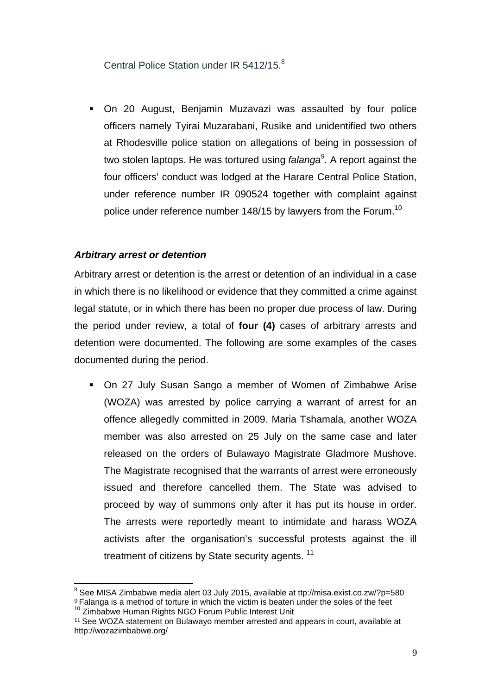Central Police Station under IR 5412/15.<sup>8</sup>

 On 20 August, Benjamin Muzavazi was assaulted by four police officers namely Tyirai Muzarabani, Rusike and unidentified two others at Rhodesville police station on allegations of being in possession of two stolen laptops. He was tortured using *falanga<sup>9</sup> .* A report against the four officers' conduct was lodged at the Harare Central Police Station, under reference number IR 090524 together with complaint against police under reference number 148/15 by lawyers from the Forum.<sup>10</sup>

## *Arbitrary arrest or detention*

Arbitrary arrest or detention is the arrest or detention of an individual in a case in which there is no likelihood or evidence that they committed a crime against legal statute, or in which there has been no proper due process of law. During the period under review, a total of **four (4)** cases of arbitrary arrests and detention were documented. The following are some examples of the cases documented during the period.

 On 27 July Susan Sango a member of Women of Zimbabwe Arise (WOZA) was arrested by police carrying a warrant of arrest for an offence allegedly committed in 2009. Maria Tshamala, another WOZA member was also arrested on 25 July on the same case and later released on the orders of Bulawayo Magistrate Gladmore Mushove. The Magistrate recognised that the warrants of arrest were erroneously issued and therefore cancelled them. The State was advised to proceed by way of summons only after it has put its house in order. The arrests were reportedly meant to intimidate and harass WOZA activists after the organisation's successful protests against the ill treatment of citizens by State security agents.<sup>11</sup>

<sup>8</sup> See MISA Zimbabwe media alert 03 July 2015, available at ttp://misa.exist.co.zw/?p=580

 $9$  Falanga is a method of torture in which the victim is beaten under the soles of the feet  $10$  Zimbabwe Human Rights NGO Forum Public Interest Unit

<sup>&</sup>lt;sup>11</sup> See WOZA statement on Bulawayo member arrested and appears in court, available at http://wozazimbabwe.org/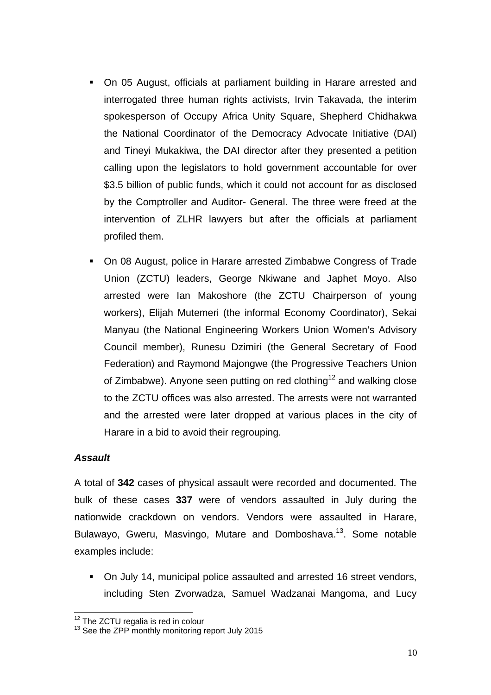- On 05 August, officials at parliament building in Harare arrested and interrogated three human rights activists, Irvin Takavada, the interim spokesperson of Occupy Africa Unity Square, Shepherd Chidhakwa the National Coordinator of the Democracy Advocate Initiative (DAI) and Tineyi Mukakiwa, the DAI director after they presented a petition calling upon the legislators to hold government accountable for over \$3.5 billion of public funds, which it could not account for as disclosed by the Comptroller and Auditor- General. The three were freed at the intervention of ZLHR lawyers but after the officials at parliament profiled them.
- On 08 August, police in Harare arrested Zimbabwe Congress of Trade Union (ZCTU) leaders, George Nkiwane and Japhet Moyo. Also arrested were Ian Makoshore (the ZCTU Chairperson of young workers), Elijah Mutemeri (the informal Economy Coordinator), Sekai Manyau (the National Engineering Workers Union Women's Advisory Council member), Runesu Dzimiri (the General Secretary of Food Federation) and Raymond Majongwe (the Progressive Teachers Union of Zimbabwe). Anyone seen putting on red clothing<sup>12</sup> and walking close to the ZCTU offices was also arrested. The arrests were not warranted and the arrested were later dropped at various places in the city of Harare in a bid to avoid their regrouping.

#### *Assault*

A total of **342** cases of physical assault were recorded and documented. The bulk of these cases **337** were of vendors assaulted in July during the nationwide crackdown on vendors. Vendors were assaulted in Harare, Bulawayo, Gweru, Masvingo, Mutare and Domboshava.<sup>13</sup>. Some notable examples include:

 On July 14, municipal police assaulted and arrested 16 street vendors, including Sten Zvorwadza, Samuel Wadzanai Mangoma, and Lucy

 $12$  The ZCTU regalia is red in colour  $13$  See the ZPP monthly monitoring report July 2015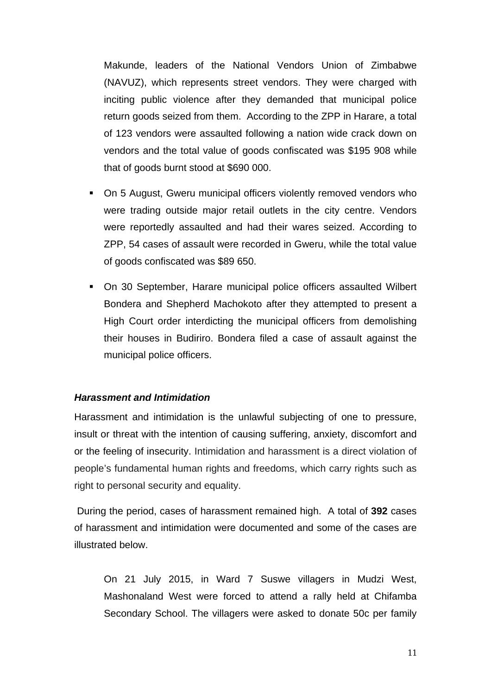Makunde, leaders of the National Vendors Union of Zimbabwe (NAVUZ), which represents street vendors. They were charged with inciting public violence after they demanded that municipal police return goods seized from them. According to the ZPP in Harare, a total of 123 vendors were assaulted following a nation wide crack down on vendors and the total value of goods confiscated was \$195 908 while that of goods burnt stood at \$690 000.

- On 5 August, Gweru municipal officers violently removed vendors who were trading outside major retail outlets in the city centre. Vendors were reportedly assaulted and had their wares seized. According to ZPP, 54 cases of assault were recorded in Gweru, while the total value of goods confiscated was \$89 650.
- On 30 September, Harare municipal police officers assaulted Wilbert Bondera and Shepherd Machokoto after they attempted to present a High Court order interdicting the municipal officers from demolishing their houses in Budiriro. Bondera filed a case of assault against the municipal police officers.

#### *Harassment and Intimidation*

Harassment and intimidation is the unlawful subjecting of one to pressure, insult or threat with the intention of causing suffering, anxiety, discomfort and or the feeling of insecurity. Intimidation and harassment is a direct violation of people's fundamental human rights and freedoms, which carry rights such as right to personal security and equality.

 During the period, cases of harassment remained high. A total of **392** cases of harassment and intimidation were documented and some of the cases are illustrated below.

On 21 July 2015, in Ward 7 Suswe villagers in Mudzi West, Mashonaland West were forced to attend a rally held at Chifamba Secondary School. The villagers were asked to donate 50c per family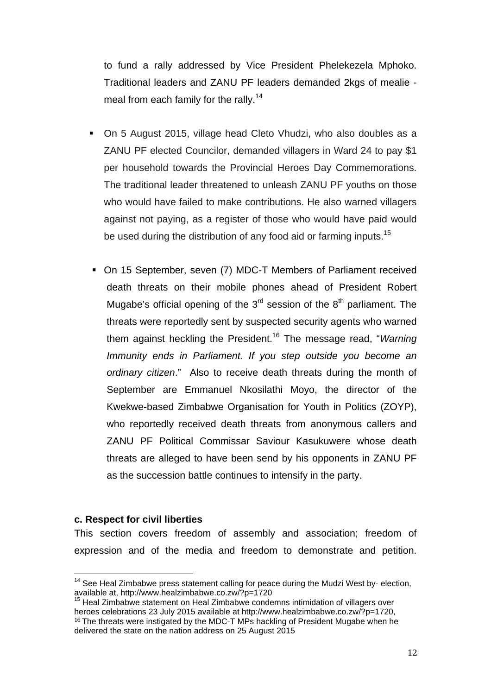to fund a rally addressed by Vice President Phelekezela Mphoko. Traditional leaders and ZANU PF leaders demanded 2kgs of mealie meal from each family for the rally.<sup>14</sup>

- On 5 August 2015, village head Cleto Vhudzi, who also doubles as a ZANU PF elected Councilor, demanded villagers in Ward 24 to pay \$1 per household towards the Provincial Heroes Day Commemorations. The traditional leader threatened to unleash ZANU PF youths on those who would have failed to make contributions. He also warned villagers against not paying, as a register of those who would have paid would be used during the distribution of any food aid or farming inputs.<sup>15</sup>
- On 15 September, seven (7) MDC-T Members of Parliament received death threats on their mobile phones ahead of President Robert Mugabe's official opening of the  $3<sup>rd</sup>$  session of the  $8<sup>th</sup>$  parliament. The threats were reportedly sent by suspected security agents who warned them against heckling the President.16 The message read, "*Warning Immunity ends in Parliament. If you step outside you become an ordinary citizen*." Also to receive death threats during the month of September are Emmanuel Nkosilathi Moyo, the director of the Kwekwe-based Zimbabwe Organisation for Youth in Politics (ZOYP), who reportedly received death threats from anonymous callers and ZANU PF Political Commissar Saviour Kasukuwere whose death threats are alleged to have been send by his opponents in ZANU PF as the succession battle continues to intensify in the party.

#### **c. Respect for civil liberties**

This section covers freedom of assembly and association; freedom of expression and of the media and freedom to demonstrate and petition.

 $14$  See Heal Zimbabwe press statement calling for peace during the Mudzi West by-election, available at, http://www.healzimbabwe.co.zw/?p=1720

<sup>&</sup>lt;sup>15</sup> Heal Zimbabwe statement on Heal Zimbabwe condemns intimidation of villagers over<br>heroes celebrations 23 July 2015 available at http://www.healzimbabwe.co.zw/?p=1720. <sup>16</sup> The threats were instigated by the MDC-T MPs hackling of President Mugabe when he delivered the state on the nation address on 25 August 2015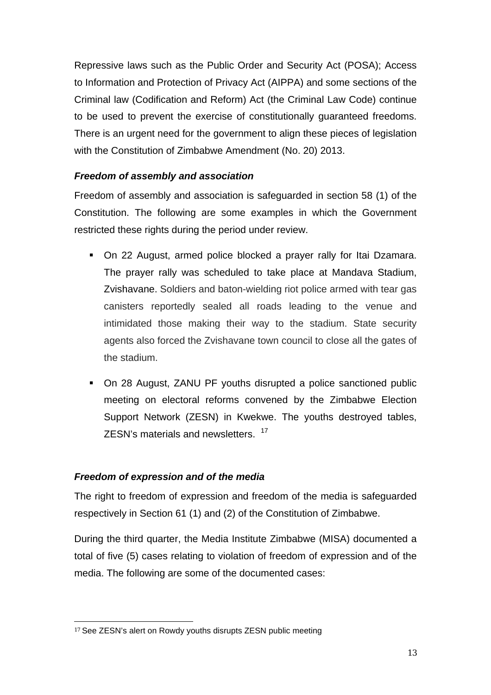Repressive laws such as the Public Order and Security Act (POSA); Access to Information and Protection of Privacy Act (AIPPA) and some sections of the Criminal law (Codification and Reform) Act (the Criminal Law Code) continue to be used to prevent the exercise of constitutionally guaranteed freedoms. There is an urgent need for the government to align these pieces of legislation with the Constitution of Zimbabwe Amendment (No. 20) 2013. 

# *Freedom of assembly and association*

Freedom of assembly and association is safeguarded in section 58 (1) of the Constitution. The following are some examples in which the Government restricted these rights during the period under review.

- On 22 August, armed police blocked a prayer rally for Itai Dzamara. The prayer rally was scheduled to take place at Mandava Stadium, Zvishavane. Soldiers and baton-wielding riot police armed with tear gas canisters reportedly sealed all roads leading to the venue and intimidated those making their way to the stadium. State security agents also forced the Zvishavane town council to close all the gates of the stadium.
- On 28 August, ZANU PF youths disrupted a police sanctioned public meeting on electoral reforms convened by the Zimbabwe Election Support Network (ZESN) in Kwekwe. The youths destroyed tables, ZESN's materials and newsletters. <sup>17</sup>

# *Freedom of expression and of the media*

The right to freedom of expression and freedom of the media is safeguarded respectively in Section 61 (1) and (2) of the Constitution of Zimbabwe.

During the third quarter, the Media Institute Zimbabwe (MISA) documented a total of five (5) cases relating to violation of freedom of expression and of the media. The following are some of the documented cases:

<sup>&</sup>lt;sup>17</sup> See ZESN's alert on Rowdy youths disrupts ZESN public meeting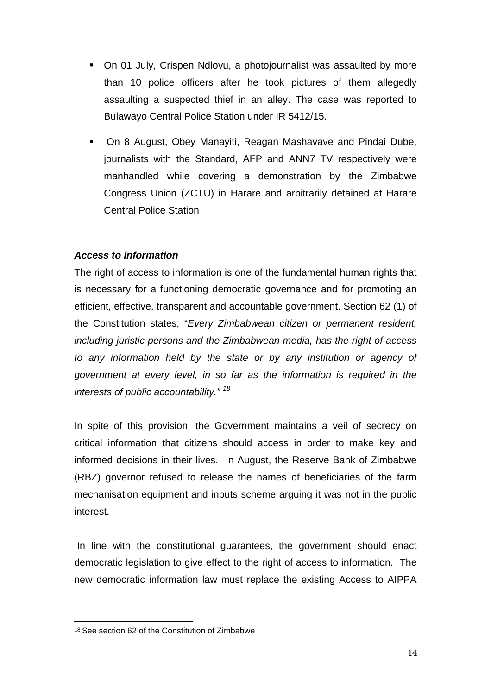- On 01 July, Crispen Ndlovu, a photojournalist was assaulted by more than 10 police officers after he took pictures of them allegedly assaulting a suspected thief in an alley. The case was reported to Bulawayo Central Police Station under IR 5412/15.
- On 8 August, Obey Manayiti, Reagan Mashavave and Pindai Dube, journalists with the Standard, AFP and ANN7 TV respectively were manhandled while covering a demonstration by the Zimbabwe Congress Union (ZCTU) in Harare and arbitrarily detained at Harare Central Police Station

# *Access to information*

The right of access to information is one of the fundamental human rights that is necessary for a functioning democratic governance and for promoting an efficient, effective, transparent and accountable government. Section 62 (1) of the Constitution states; "*Every Zimbabwean citizen or permanent resident, including juristic persons and the Zimbabwean media, has the right of access to any information held by the state or by any institution or agency of government at every level, in so far as the information is required in the interests of public accountability." 18*

In spite of this provision, the Government maintains a veil of secrecy on critical information that citizens should access in order to make key and informed decisions in their lives. In August, the Reserve Bank of Zimbabwe (RBZ) governor refused to release the names of beneficiaries of the farm mechanisation equipment and inputs scheme arguing it was not in the public interest.

 In line with the constitutional guarantees, the government should enact democratic legislation to give effect to the right of access to information. The new democratic information law must replace the existing Access to AIPPA

<sup>&</sup>lt;sup>18</sup> See section 62 of the Constitution of Zimbabwe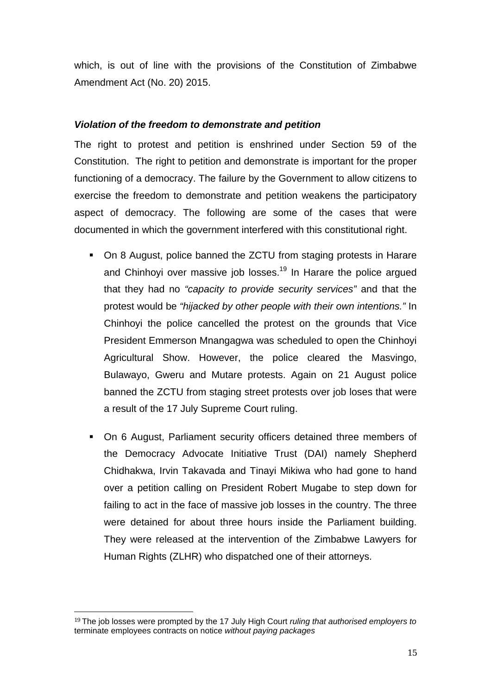which, is out of line with the provisions of the Constitution of Zimbabwe Amendment Act (No. 20) 2015.

## *Violation of the freedom to demonstrate and petition*

The right to protest and petition is enshrined under Section 59 of the Constitution. The right to petition and demonstrate is important for the proper functioning of a democracy. The failure by the Government to allow citizens to exercise the freedom to demonstrate and petition weakens the participatory aspect of democracy. The following are some of the cases that were documented in which the government interfered with this constitutional right.

- On 8 August, police banned the ZCTU from staging protests in Harare and Chinhoyi over massive job losses.<sup>19</sup> In Harare the police argued that they had no *"capacity to provide security services"* and that the protest would be *"hijacked by other people with their own intentions."* In Chinhoyi the police cancelled the protest on the grounds that Vice President Emmerson Mnangagwa was scheduled to open the Chinhoyi Agricultural Show. However, the police cleared the Masvingo, Bulawayo, Gweru and Mutare protests. Again on 21 August police banned the ZCTU from staging street protests over job loses that were a result of the 17 July Supreme Court ruling.
- On 6 August, Parliament security officers detained three members of the Democracy Advocate Initiative Trust (DAI) namely Shepherd Chidhakwa, Irvin Takavada and Tinayi Mikiwa who had gone to hand over a petition calling on President Robert Mugabe to step down for failing to act in the face of massive job losses in the country. The three were detained for about three hours inside the Parliament building. They were released at the intervention of the Zimbabwe Lawyers for Human Rights (ZLHR) who dispatched one of their attorneys.

<sup>&</sup>lt;sup>19</sup> The job losses were prompted by the 17 July High Court *ruling that authorised employers to* terminate employees contracts on notice *without paying packages*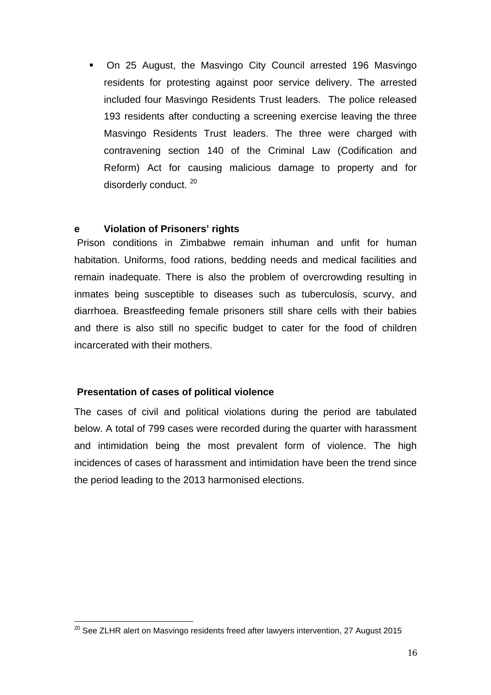On 25 August, the Masvingo City Council arrested 196 Masvingo residents for protesting against poor service delivery. The arrested included four Masvingo Residents Trust leaders. The police released 193 residents after conducting a screening exercise leaving the three Masvingo Residents Trust leaders. The three were charged with contravening section 140 of the Criminal Law (Codification and Reform) Act for causing malicious damage to property and for disorderly conduct.<sup>20</sup>

#### **e Violation of Prisoners' rights**

Prison conditions in Zimbabwe remain inhuman and unfit for human habitation. Uniforms, food rations, bedding needs and medical facilities and remain inadequate. There is also the problem of overcrowding resulting in inmates being susceptible to diseases such as tuberculosis, scurvy, and diarrhoea. Breastfeeding female prisoners still share cells with their babies and there is also still no specific budget to cater for the food of children incarcerated with their mothers.

#### **Presentation of cases of political violence**

The cases of civil and political violations during the period are tabulated below. A total of 799 cases were recorded during the quarter with harassment and intimidation being the most prevalent form of violence. The high incidences of cases of harassment and intimidation have been the trend since the period leading to the 2013 harmonised elections.

 $20$  See ZLHR alert on Masvingo residents freed after lawyers intervention, 27 August 2015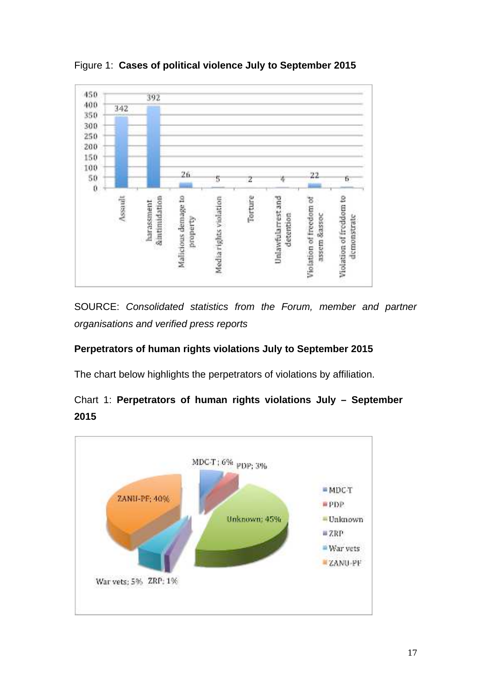

Figure 1: **Cases of political violence July to September 2015**

SOURCE: *Consolidated statistics from the Forum, member and partner organisations and verified press reports*

# **Perpetrators of human rights violations July to September 2015**

The chart below highlights the perpetrators of violations by affiliation.



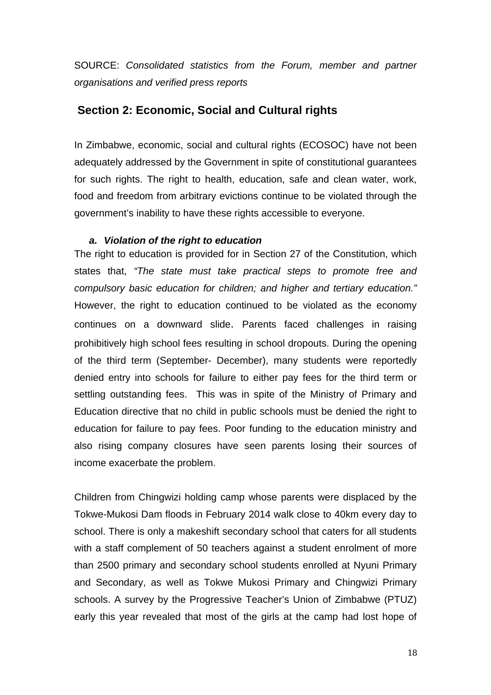SOURCE: *Consolidated statistics from the Forum, member and partner organisations and verified press reports*

## **Section 2: Economic, Social and Cultural rights**

In Zimbabwe, economic, social and cultural rights (ECOSOC) have not been adequately addressed by the Government in spite of constitutional guarantees for such rights. The right to health, education, safe and clean water, work, food and freedom from arbitrary evictions continue to be violated through the government's inability to have these rights accessible to everyone.

#### *a. Violation of the right to education*

The right to education is provided for in Section 27 of the Constitution, which states that, *"The state must take practical steps to promote free and compulsory basic education for children; and higher and tertiary education."* However, the right to education continued to be violated as the economy continues on a downward slide. Parents faced challenges in raising prohibitively high school fees resulting in school dropouts. During the opening of the third term (September- December), many students were reportedly denied entry into schools for failure to either pay fees for the third term or settling outstanding fees. This was in spite of the Ministry of Primary and Education directive that no child in public schools must be denied the right to education for failure to pay fees. Poor funding to the education ministry and also rising company closures have seen parents losing their sources of income exacerbate the problem.

Children from Chingwizi holding camp whose parents were displaced by the Tokwe-Mukosi Dam floods in February 2014 walk close to 40km every day to school. There is only a makeshift secondary school that caters for all students with a staff complement of 50 teachers against a student enrolment of more than 2500 primary and secondary school students enrolled at Nyuni Primary and Secondary, as well as Tokwe Mukosi Primary and Chingwizi Primary schools. A survey by the Progressive Teacher's Union of Zimbabwe (PTUZ) early this year revealed that most of the girls at the camp had lost hope of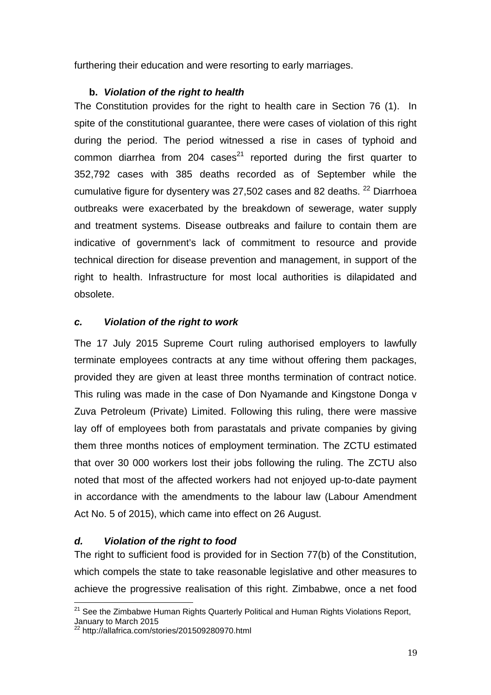furthering their education and were resorting to early marriages. 

# **b.** *Violation of the right to health*

The Constitution provides for the right to health care in Section 76 (1). In spite of the constitutional guarantee, there were cases of violation of this right during the period. The period witnessed a rise in cases of typhoid and common diarrhea from 204 cases $^{21}$  reported during the first quarter to 352,792 cases with 385 deaths recorded as of September while the cumulative figure for dysentery was 27,502 cases and 82 deaths. <sup>22</sup> Diarrhoea outbreaks were exacerbated by the breakdown of sewerage, water supply and treatment systems. Disease outbreaks and failure to contain them are indicative of government's lack of commitment to resource and provide technical direction for disease prevention and management, in support of the right to health. Infrastructure for most local authorities is dilapidated and obsolete.

# *c. Violation of the right to work*

The 17 July 2015 Supreme Court ruling authorised employers to lawfully terminate employees contracts at any time without offering them packages, provided they are given at least three months termination of contract notice. This ruling was made in the case of Don Nyamande and Kingstone Donga v Zuva Petroleum (Private) Limited. Following this ruling, there were massive lay off of employees both from parastatals and private companies by giving them three months notices of employment termination. The ZCTU estimated that over 30 000 workers lost their jobs following the ruling. The ZCTU also noted that most of the affected workers had not enjoyed up-to-date payment in accordance with the amendments to the labour law (Labour Amendment Act No. 5 of 2015), which came into effect on 26 August.

# *d. Violation of the right to food*

The right to sufficient food is provided for in Section 77(b) of the Constitution, which compels the state to take reasonable legislative and other measures to achieve the progressive realisation of this right. Zimbabwe, once a net food

 $21$  See the Zimbabwe Human Rights Quarterly Political and Human Rights Violations Report, January to March 2015

<sup>&</sup>lt;sup>22</sup> http://allafrica.com/stories/201509280970.html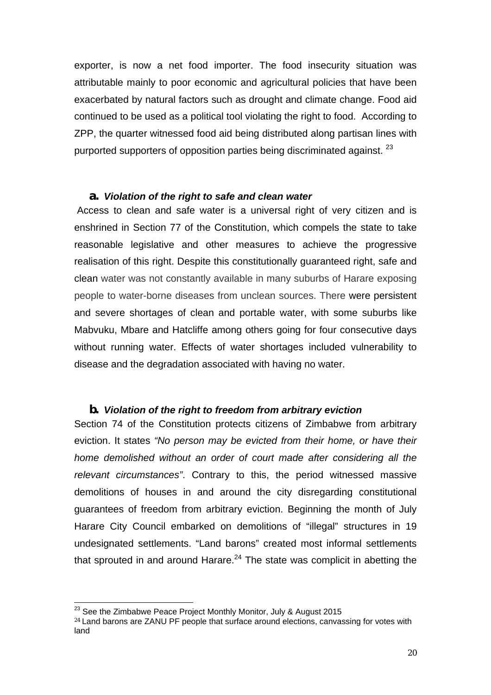exporter, is now a net food importer. The food insecurity situation was attributable mainly to poor economic and agricultural policies that have been exacerbated by natural factors such as drought and climate change. Food aid continued to be used as a political tool violating the right to food. According to ZPP, the quarter witnessed food aid being distributed along partisan lines with purported supporters of opposition parties being discriminated against. <sup>23</sup>

#### *a. Violation of the right to safe and clean water*

 Access to clean and safe water is a universal right of very citizen and is enshrined in Section 77 of the Constitution, which compels the state to take reasonable legislative and other measures to achieve the progressive realisation of this right. Despite this constitutionally guaranteed right, safe and clean water was not constantly available in many suburbs of Harare exposing people to water-borne diseases from unclean sources. There were persistent and severe shortages of clean and portable water, with some suburbs like Mabvuku, Mbare and Hatcliffe among others going for four consecutive days without running water. Effects of water shortages included vulnerability to disease and the degradation associated with having no water.

#### *b. Violation of the right to freedom from arbitrary eviction*

Section 74 of the Constitution protects citizens of Zimbabwe from arbitrary eviction. It states *"No person may be evicted from their home, or have their home demolished without an order of court made after considering all the relevant circumstances"*. Contrary to this, the period witnessed massive demolitions of houses in and around the city disregarding constitutional guarantees of freedom from arbitrary eviction. Beginning the month of July Harare City Council embarked on demolitions of "illegal" structures in 19 undesignated settlements. "Land barons" created most informal settlements that sprouted in and around Harare. $24$  The state was complicit in abetting the

 $23$  See the Zimbabwe Peace Project Monthly Monitor, July & August 2015

<sup>&</sup>lt;sup>24</sup> Land barons are ZANU PF people that surface around elections, canvassing for votes with land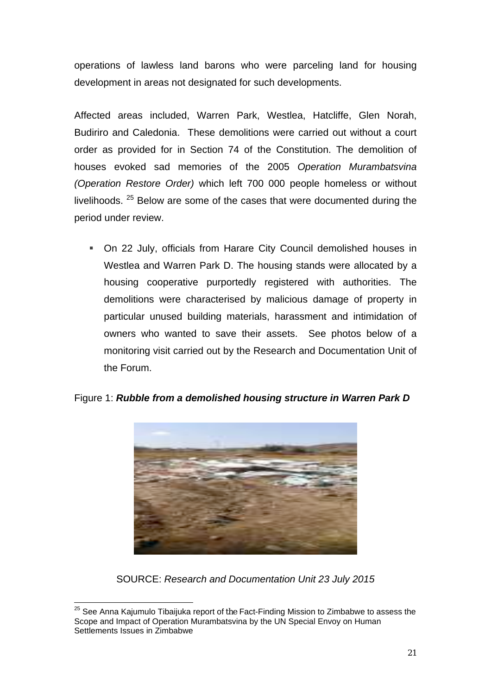operations of lawless land barons who were parceling land for housing development in areas not designated for such developments.

Affected areas included, Warren Park, Westlea, Hatcliffe, Glen Norah, Budiriro and Caledonia. These demolitions were carried out without a court order as provided for in Section 74 of the Constitution. The demolition of houses evoked sad memories of the 2005 *Operation Murambatsvina (Operation Restore Order)* which left 700 000 people homeless or without livelihoods. <sup>25</sup> Below are some of the cases that were documented during the period under review.

 On 22 July, officials from Harare City Council demolished houses in Westlea and Warren Park D. The housing stands were allocated by a housing cooperative purportedly registered with authorities. The demolitions were characterised by malicious damage of property in particular unused building materials, harassment and intimidation of owners who wanted to save their assets. See photos below of a monitoring visit carried out by the Research and Documentation Unit of the Forum.



Figure 1: *Rubble from a demolished housing structure in Warren Park D*

SOURCE: *Research and Documentation Unit 23 July 2015*

 $25$  See Anna Kajumulo Tibaijuka report of the Fact-Finding Mission to Zimbabwe to assess the Scope and Impact of Operation Murambatsvina by the UN Special Envoy on Human Settlements Issues in Zimbabwe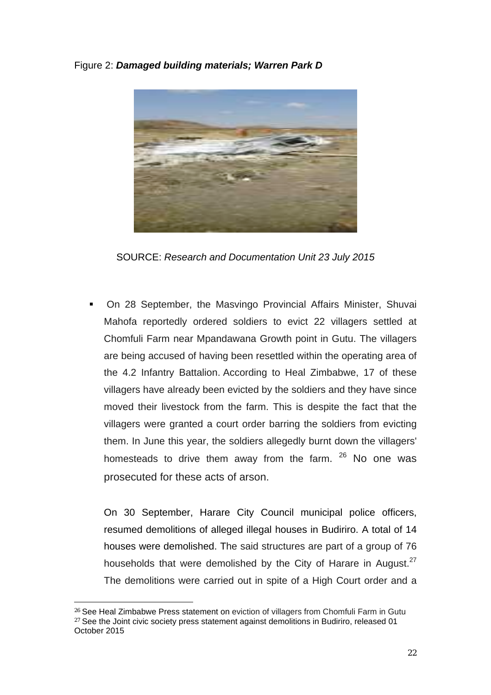Figure 2: *Damaged building materials; Warren Park D*



SOURCE: *Research and Documentation Unit 23 July 2015*

 On 28 September, the Masvingo Provincial Affairs Minister, Shuvai Mahofa reportedly ordered soldiers to evict 22 villagers settled at Chomfuli Farm near Mpandawana Growth point in Gutu. The villagers are being accused of having been resettled within the operating area of the 4.2 Infantry Battalion. According to Heal Zimbabwe, 17 of these villagers have already been evicted by the soldiers and they have since moved their livestock from the farm. This is despite the fact that the villagers were granted a court order barring the soldiers from evicting them. In June this year, the soldiers allegedly burnt down the villagers' homesteads to drive them away from the farm.  $26$  No one was prosecuted for these acts of arson.

On 30 September, Harare City Council municipal police officers, resumed demolitions of alleged illegal houses in Budiriro. A total of 14 houses were demolished. The said structures are part of a group of 76 households that were demolished by the City of Harare in August.<sup>27</sup> The demolitions were carried out in spite of a High Court order and a

<sup>&</sup>lt;sup>26</sup> See Heal Zimbabwe Press statement on eviction of villagers from Chomfuli Farm in Gutu  $27$  See the Joint civic society press statement against demolitions in Budiriro, released 01 October 2015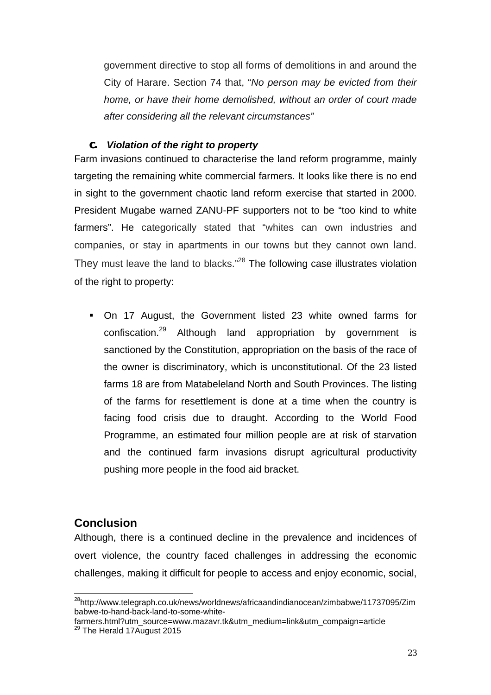government directive to stop all forms of demolitions in and around the City of Harare. Section 74 that, "*No person may be evicted from their home, or have their home demolished, without an order of court made after considering all the relevant circumstances"*

#### *c. Violation of the right to property*

Farm invasions continued to characterise the land reform programme, mainly targeting the remaining white commercial farmers. It looks like there is no end in sight to the government chaotic land reform exercise that started in 2000. President Mugabe warned ZANU-PF supporters not to be "too kind to white farmers". He categorically stated that "whites can own industries and companies, or stay in apartments in our towns but they cannot own land. They must leave the land to blacks."<sup>28</sup> The following case illustrates violation of the right to property:

 On 17 August, the Government listed 23 white owned farms for confiscation.29 Although land appropriation by government is sanctioned by the Constitution, appropriation on the basis of the race of the owner is discriminatory, which is unconstitutional. Of the 23 listed farms 18 are from Matabeleland North and South Provinces. The listing of the farms for resettlement is done at a time when the country is facing food crisis due to draught. According to the World Food Programme, an estimated four million people are at risk of starvation and the continued farm invasions disrupt agricultural productivity pushing more people in the food aid bracket.

# **Conclusion**

Although, there is a continued decline in the prevalence and incidences of overt violence, the country faced challenges in addressing the economic challenges, making it difficult for people to access and enjoy economic, social,

28http://www.telegraph.co.uk/news/worldnews/africaandindianocean/zimbabwe/11737095/Zim babwe-to-hand-back-land-to-some-white-

farmers.html?utm\_source=www.mazavr.tk&utm\_medium=link&utm\_compaign=article <sup>29</sup> The Herald 17 August 2015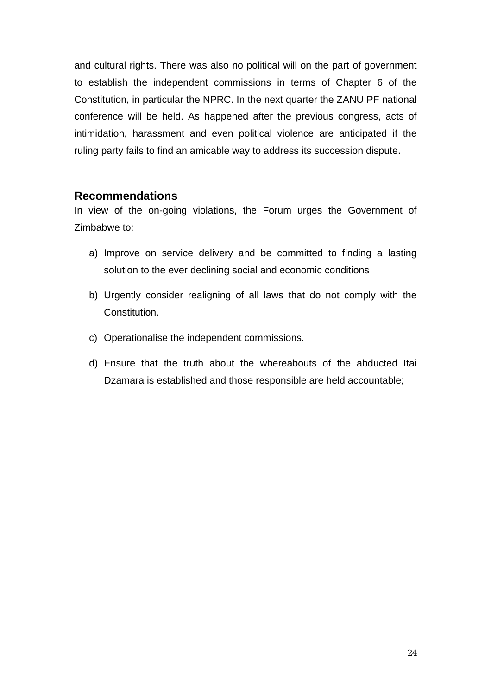and cultural rights. There was also no political will on the part of government to establish the independent commissions in terms of Chapter 6 of the Constitution, in particular the NPRC. In the next quarter the ZANU PF national conference will be held. As happened after the previous congress, acts of intimidation, harassment and even political violence are anticipated if the ruling party fails to find an amicable way to address its succession dispute.

# **Recommendations**

In view of the on-going violations, the Forum urges the Government of Zimbabwe to:

- a) Improve on service delivery and be committed to finding a lasting solution to the ever declining social and economic conditions
- b) Urgently consider realigning of all laws that do not comply with the Constitution.
- c) Operationalise the independent commissions.
- d) Ensure that the truth about the whereabouts of the abducted Itai Dzamara is established and those responsible are held accountable;